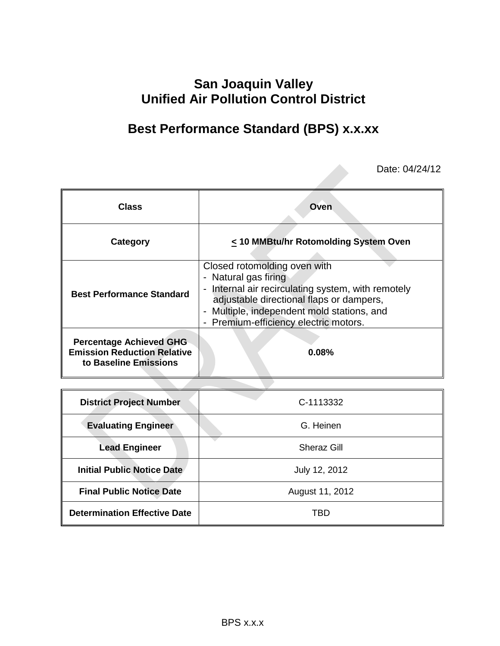## **San Joaquin Valley Unified Air Pollution Control District**

# **Best Performance Standard (BPS) x.x.xx**

Date: 04/24/12

| <b>Class</b>                                                                                  | Oven                                                                                                                                                                                                                                          |  |  |
|-----------------------------------------------------------------------------------------------|-----------------------------------------------------------------------------------------------------------------------------------------------------------------------------------------------------------------------------------------------|--|--|
| Category                                                                                      | < 10 MMBtu/hr Rotomolding System Oven                                                                                                                                                                                                         |  |  |
| <b>Best Performance Standard</b>                                                              | Closed rotomolding oven with<br>- Natural gas firing<br>- Internal air recirculating system, with remotely<br>adjustable directional flaps or dampers,<br>- Multiple, independent mold stations, and<br>- Premium-efficiency electric motors. |  |  |
| <b>Percentage Achieved GHG</b><br><b>Emission Reduction Relative</b><br>to Baseline Emissions | 0.08%                                                                                                                                                                                                                                         |  |  |

| <b>District Project Number</b>      | C-1113332          |  |  |
|-------------------------------------|--------------------|--|--|
| <b>Evaluating Engineer</b>          | G. Heinen          |  |  |
| <b>Lead Engineer</b>                | <b>Sheraz Gill</b> |  |  |
| <b>Initial Public Notice Date</b>   | July 12, 2012      |  |  |
| <b>Final Public Notice Date</b>     | August 11, 2012    |  |  |
| <b>Determination Effective Date</b> | TBD                |  |  |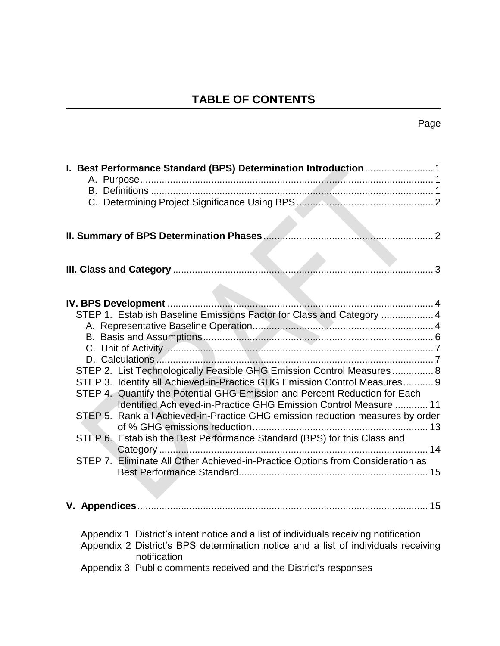## **TABLE OF CONTENTS**

| STEP 1. Establish Baseline Emissions Factor for Class and Category  4<br>STEP 2. List Technologically Feasible GHG Emission Control Measures  8<br>STEP 3. Identify all Achieved-in-Practice GHG Emission Control Measures 9<br>STEP 4. Quantify the Potential GHG Emission and Percent Reduction for Each<br>Identified Achieved-in-Practice GHG Emission Control Measure  11<br>STEP 5. Rank all Achieved-in-Practice GHG emission reduction measures by order<br>STEP 6. Establish the Best Performance Standard (BPS) for this Class and<br>STEP 7. Eliminate All Other Achieved-in-Practice Options from Consideration as |
|--------------------------------------------------------------------------------------------------------------------------------------------------------------------------------------------------------------------------------------------------------------------------------------------------------------------------------------------------------------------------------------------------------------------------------------------------------------------------------------------------------------------------------------------------------------------------------------------------------------------------------|
|                                                                                                                                                                                                                                                                                                                                                                                                                                                                                                                                                                                                                                |
| Appendix 1 District's intent notice and a list of individuals receiving notification<br>Appendix 2 District's BPS determination notice and a list of individuals receiving<br>notification<br>Appendix 3 Public comments received and the District's responses                                                                                                                                                                                                                                                                                                                                                                 |

## Page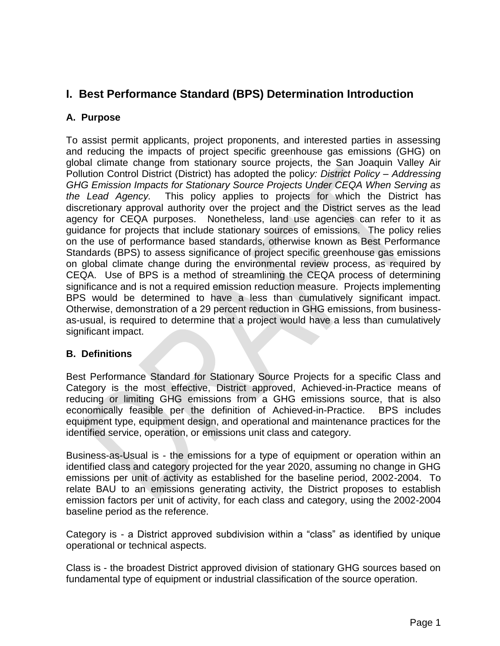## <span id="page-2-0"></span>**I. Best Performance Standard (BPS) Determination Introduction**

### <span id="page-2-1"></span>**A. Purpose**

To assist permit applicants, project proponents, and interested parties in assessing and reducing the impacts of project specific greenhouse gas emissions (GHG) on global climate change from stationary source projects, the San Joaquin Valley Air Pollution Control District (District) has adopted the polic*y: District Policy – Addressing GHG Emission Impacts for Stationary Source Projects Under CEQA When Serving as the Lead Agency.* This policy applies to projects for which the District has discretionary approval authority over the project and the District serves as the lead agency for CEQA purposes. Nonetheless, land use agencies can refer to it as guidance for projects that include stationary sources of emissions. The policy relies on the use of performance based standards, otherwise known as Best Performance Standards (BPS) to assess significance of project specific greenhouse gas emissions on global climate change during the environmental review process, as required by CEQA. Use of BPS is a method of streamlining the CEQA process of determining significance and is not a required emission reduction measure. Projects implementing BPS would be determined to have a less than cumulatively significant impact. Otherwise, demonstration of a 29 percent reduction in GHG emissions, from businessas-usual, is required to determine that a project would have a less than cumulatively significant impact.

### <span id="page-2-2"></span>**B. Definitions**

Best Performance Standard for Stationary Source Projects for a specific Class and Category is the most effective, District approved, Achieved-in-Practice means of reducing or limiting GHG emissions from a GHG emissions source, that is also economically feasible per the definition of Achieved-in-Practice. BPS includes equipment type, equipment design, and operational and maintenance practices for the identified service, operation, or emissions unit class and category.

Business-as-Usual is - the emissions for a type of equipment or operation within an identified class and category projected for the year 2020, assuming no change in GHG emissions per unit of activity as established for the baseline period, 2002-2004. To relate BAU to an emissions generating activity, the District proposes to establish emission factors per unit of activity, for each class and category, using the 2002-2004 baseline period as the reference.

Category is - a District approved subdivision within a "class" as identified by unique operational or technical aspects.

Class is - the broadest District approved division of stationary GHG sources based on fundamental type of equipment or industrial classification of the source operation.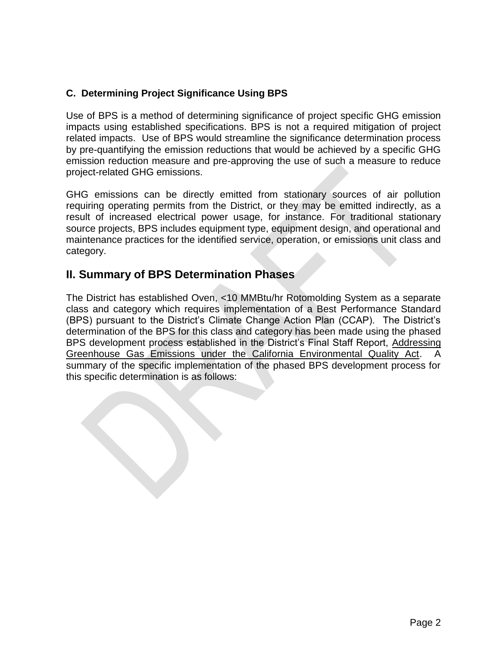## <span id="page-3-0"></span>**C. Determining Project Significance Using BPS**

Use of BPS is a method of determining significance of project specific GHG emission impacts using established specifications. BPS is not a required mitigation of project related impacts. Use of BPS would streamline the significance determination process by pre-quantifying the emission reductions that would be achieved by a specific GHG emission reduction measure and pre-approving the use of such a measure to reduce project-related GHG emissions.

GHG emissions can be directly emitted from stationary sources of air pollution requiring operating permits from the District, or they may be emitted indirectly, as a result of increased electrical power usage, for instance. For traditional stationary source projects, BPS includes equipment type, equipment design, and operational and maintenance practices for the identified service, operation, or emissions unit class and category.

## <span id="page-3-1"></span>**II. Summary of BPS Determination Phases**

The District has established Oven, <10 MMBtu/hr Rotomolding System as a separate class and category which requires implementation of a Best Performance Standard (BPS) pursuant to the District's Climate Change Action Plan (CCAP). The District's determination of the BPS for this class and category has been made using the phased BPS development process established in the District's Final Staff Report, Addressing Greenhouse Gas Emissions under the California Environmental Quality Act. summary of the specific implementation of the phased BPS development process for this specific determination is as follows: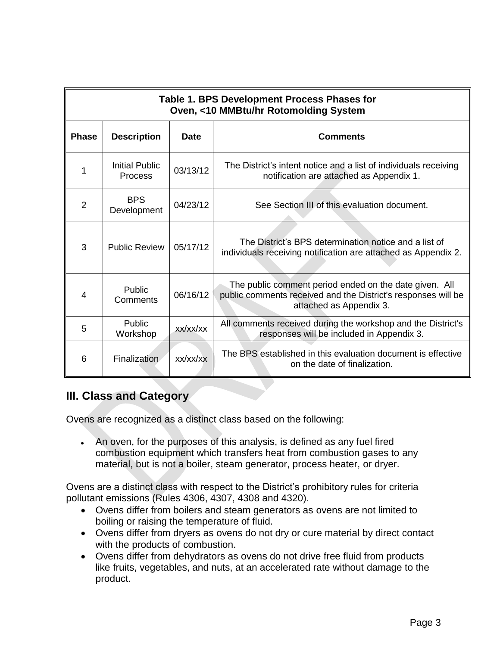| Table 1. BPS Development Process Phases for<br>Oven, <10 MMBtu/hr Rotomolding System |                                         |          |                                                                                                                                                    |  |  |
|--------------------------------------------------------------------------------------|-----------------------------------------|----------|----------------------------------------------------------------------------------------------------------------------------------------------------|--|--|
| <b>Phase</b><br><b>Description</b><br><b>Date</b><br><b>Comments</b>                 |                                         |          |                                                                                                                                                    |  |  |
| 1                                                                                    | <b>Initial Public</b><br><b>Process</b> | 03/13/12 | The District's intent notice and a list of individuals receiving<br>notification are attached as Appendix 1.                                       |  |  |
| 2                                                                                    | <b>BPS</b><br>Development               | 04/23/12 | See Section III of this evaluation document.                                                                                                       |  |  |
| 3                                                                                    | <b>Public Review</b>                    | 05/17/12 | The District's BPS determination notice and a list of<br>individuals receiving notification are attached as Appendix 2.                            |  |  |
| 4                                                                                    | Public<br>Comments                      | 06/16/12 | The public comment period ended on the date given. All<br>public comments received and the District's responses will be<br>attached as Appendix 3. |  |  |
| 5                                                                                    | Public<br>Workshop                      | xx/xx/xx | All comments received during the workshop and the District's<br>responses will be included in Appendix 3.                                          |  |  |
| 6                                                                                    | Finalization                            | XX/XX/XX | The BPS established in this evaluation document is effective<br>on the date of finalization.                                                       |  |  |

## <span id="page-4-0"></span>**III. Class and Category**

Ovens are recognized as a distinct class based on the following:

 An oven, for the purposes of this analysis, is defined as any fuel fired combustion equipment which transfers heat from combustion gases to any material, but is not a boiler, steam generator, process heater, or dryer.

Ovens are a distinct class with respect to the District's prohibitory rules for criteria pollutant emissions (Rules 4306, 4307, 4308 and 4320).

- Ovens differ from boilers and steam generators as ovens are not limited to boiling or raising the temperature of fluid.
- Ovens differ from dryers as ovens do not dry or cure material by direct contact with the products of combustion.
- Ovens differ from dehydrators as ovens do not drive free fluid from products like fruits, vegetables, and nuts, at an accelerated rate without damage to the product.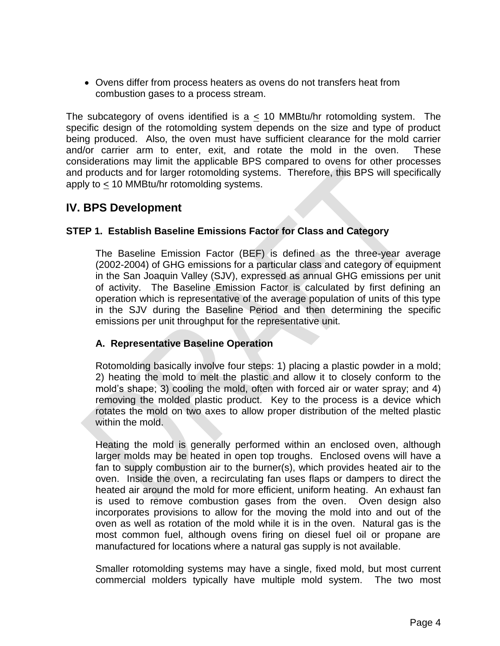<span id="page-5-0"></span> Ovens differ from process heaters as ovens do not transfers heat from combustion gases to a process stream.

The subcategory of ovens identified is a  $\leq$  10 MMBtu/hr rotomolding system. The specific design of the rotomolding system depends on the size and type of product being produced. Also, the oven must have sufficient clearance for the mold carrier and/or carrier arm to enter, exit, and rotate the mold in the oven. These considerations may limit the applicable BPS compared to ovens for other processes and products and for larger rotomolding systems. Therefore, this BPS will specifically apply to < 10 MMBtu/hr rotomolding systems.

## **IV. BPS Development**

#### <span id="page-5-1"></span>**STEP 1. Establish Baseline Emissions Factor for Class and Category**

The Baseline Emission Factor (BEF) is defined as the three-year average (2002-2004) of GHG emissions for a particular class and category of equipment in the San Joaquin Valley (SJV), expressed as annual GHG emissions per unit of activity. The Baseline Emission Factor is calculated by first defining an operation which is representative of the average population of units of this type in the SJV during the Baseline Period and then determining the specific emissions per unit throughput for the representative unit.

#### <span id="page-5-2"></span>**A. Representative Baseline Operation**

Rotomolding basically involve four steps: 1) placing a plastic powder in a mold; 2) heating the mold to melt the plastic and allow it to closely conform to the mold's shape; 3) cooling the mold, often with forced air or water spray; and 4) removing the molded plastic product. Key to the process is a device which rotates the mold on two axes to allow proper distribution of the melted plastic within the mold.

Heating the mold is generally performed within an enclosed oven, although larger molds may be heated in open top troughs. Enclosed ovens will have a fan to supply combustion air to the burner(s), which provides heated air to the oven. Inside the oven, a recirculating fan uses flaps or dampers to direct the heated air around the mold for more efficient, uniform heating. An exhaust fan is used to remove combustion gases from the oven. Oven design also incorporates provisions to allow for the moving the mold into and out of the oven as well as rotation of the mold while it is in the oven. Natural gas is the most common fuel, although ovens firing on diesel fuel oil or propane are manufactured for locations where a natural gas supply is not available.

Smaller rotomolding systems may have a single, fixed mold, but most current commercial molders typically have multiple mold system. The two most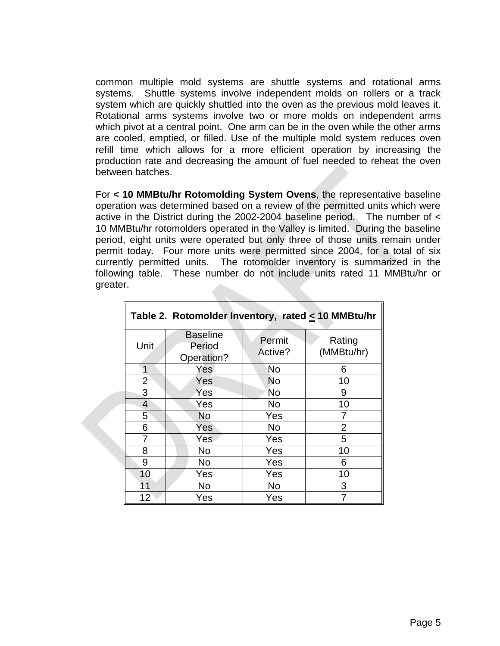common multiple mold systems are shuttle systems and rotational arms systems. Shuttle systems involve independent molds on rollers or a track system which are quickly shuttled into the oven as the previous mold leaves it. Rotational arms systems involve two or more molds on independent arms which pivot at a central point. One arm can be in the oven while the other arms are cooled, emptied, or filled. Use of the multiple mold system reduces oven refill time which allows for a more efficient operation by increasing the production rate and decreasing the amount of fuel needed to reheat the oven between batches.

For **< 10 MMBtu/hr Rotomolding System Ovens**, the representative baseline operation was determined based on a review of the permitted units which were active in the District during the 2002-2004 baseline period. The number of < 10 MMBtu/hr rotomolders operated in the Valley is limited. During the baseline period, eight units were operated but only three of those units remain under permit today. Four more units were permitted since 2004, for a total of six currently permitted units. The rotomolder inventory is summarized in the following table. These number do not include units rated 11 MMBtu/hr or greater.

| Table 2. Rotomolder Inventory, rated $\leq$ 10 MMBtu/hr |                                         |                   |                      |  |  |
|---------------------------------------------------------|-----------------------------------------|-------------------|----------------------|--|--|
| Unit                                                    | <b>Baseline</b><br>Period<br>Operation? | Permit<br>Active? | Rating<br>(MMBtu/hr) |  |  |
|                                                         | Yes                                     | No                | 6                    |  |  |
| $\overline{2}$                                          | Yes                                     | <b>No</b>         | 10                   |  |  |
| 3                                                       | Yes                                     | <b>No</b>         | 9                    |  |  |
| $\overline{4}$                                          | Yes                                     | No                | 10                   |  |  |
| 5                                                       | <b>No</b>                               | Yes               |                      |  |  |
| 6                                                       | Yes                                     | <b>No</b>         | $\overline{2}$       |  |  |
| 7                                                       | Yes                                     | Yes               | 5                    |  |  |
| 8                                                       | <b>No</b>                               | Yes               | 10                   |  |  |
| 9                                                       | <b>No</b>                               | Yes               | 6                    |  |  |
| 10                                                      | Yes                                     | Yes               | 10                   |  |  |
| 11                                                      | <b>No</b>                               | No                | 3                    |  |  |
| 12                                                      | Yes                                     | Yes               |                      |  |  |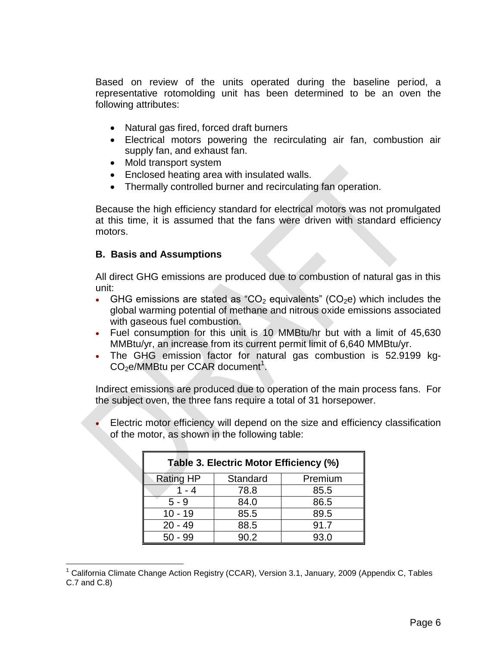Based on review of the units operated during the baseline period, a representative rotomolding unit has been determined to be an oven the following attributes:

- Natural gas fired, forced draft burners
- Electrical motors powering the recirculating air fan, combustion air supply fan, and exhaust fan.
- Mold transport system
- Enclosed heating area with insulated walls.
- Thermally controlled burner and recirculating fan operation.

Because the high efficiency standard for electrical motors was not promulgated at this time, it is assumed that the fans were driven with standard efficiency motors.

#### <span id="page-7-0"></span>**B. Basis and Assumptions**

 $\overline{a}$ 

All direct GHG emissions are produced due to combustion of natural gas in this unit:

- GHG emissions are stated as "CO<sub>2</sub> equivalents" (CO<sub>2</sub>e) which includes the global warming potential of methane and nitrous oxide emissions associated with gaseous fuel combustion.
- Fuel consumption for this unit is 10 MMBtu/hr but with a limit of 45,630 MMBtu/yr, an increase from its current permit limit of 6,640 MMBtu/yr.
- The GHG emission factor for natural gas combustion is 52.9199 kg- $CO<sub>2</sub>e/MMB$ tu per CCAR document<sup>1</sup>.

Indirect emissions are produced due to operation of the main process fans. For the subject oven, the three fans require a total of 31 horsepower.

 Electric motor efficiency will depend on the size and efficiency classification of the motor, as shown in the following table:

| Table 3. Electric Motor Efficiency (%) |          |         |  |  |
|----------------------------------------|----------|---------|--|--|
| <b>Rating HP</b>                       | Standard | Premium |  |  |
| 1 - 4                                  | 78.8     | 85.5    |  |  |
| $5 - 9$                                | 84.0     | 86.5    |  |  |
| $10 - 19$                              | 85.5     | 89.5    |  |  |
| $20 - 49$                              | 88.5     | 91.7    |  |  |
| $50 - 99$                              | 90.2     | 93.0    |  |  |

 $1$  California Climate Change Action Registry (CCAR), Version 3.1, January, 2009 (Appendix C, Tables C.7 and C.8)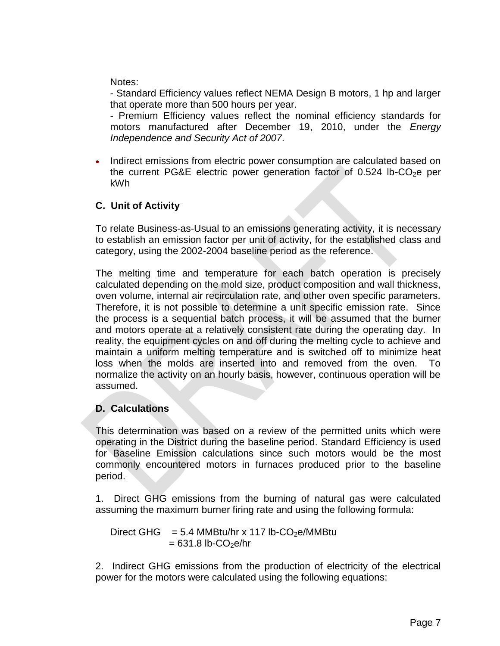Notes:

- Standard Efficiency values reflect NEMA Design B motors, 1 hp and larger that operate more than 500 hours per year.

- Premium Efficiency values reflect the nominal efficiency standards for motors manufactured after December 19, 2010, under the *Energy Independence and Security Act of 2007*.

 Indirect emissions from electric power consumption are calculated based on the current PG&E electric power generation factor of  $0.524$  lb-CO<sub>2</sub>e per kWh

## <span id="page-8-0"></span>**C. Unit of Activity**

To relate Business-as-Usual to an emissions generating activity, it is necessary to establish an emission factor per unit of activity, for the established class and category, using the 2002-2004 baseline period as the reference.

The melting time and temperature for each batch operation is precisely calculated depending on the mold size, product composition and wall thickness, oven volume, internal air recirculation rate, and other oven specific parameters. Therefore, it is not possible to determine a unit specific emission rate. Since the process is a sequential batch process, it will be assumed that the burner and motors operate at a relatively consistent rate during the operating day. In reality, the equipment cycles on and off during the melting cycle to achieve and maintain a uniform melting temperature and is switched off to minimize heat loss when the molds are inserted into and removed from the oven. To normalize the activity on an hourly basis, however, continuous operation will be assumed.

## <span id="page-8-1"></span>**D. Calculations**

This determination was based on a review of the permitted units which were operating in the District during the baseline period. Standard Efficiency is used for Baseline Emission calculations since such motors would be the most commonly encountered motors in furnaces produced prior to the baseline period.

1. Direct GHG emissions from the burning of natural gas were calculated assuming the maximum burner firing rate and using the following formula:

Direct GHG =  $5.4$  MMBtu/hr x 117 lb-CO<sub>2</sub>e/MMBtu  $= 631.8$  lb-CO<sub>2</sub>e/hr

2. Indirect GHG emissions from the production of electricity of the electrical power for the motors were calculated using the following equations: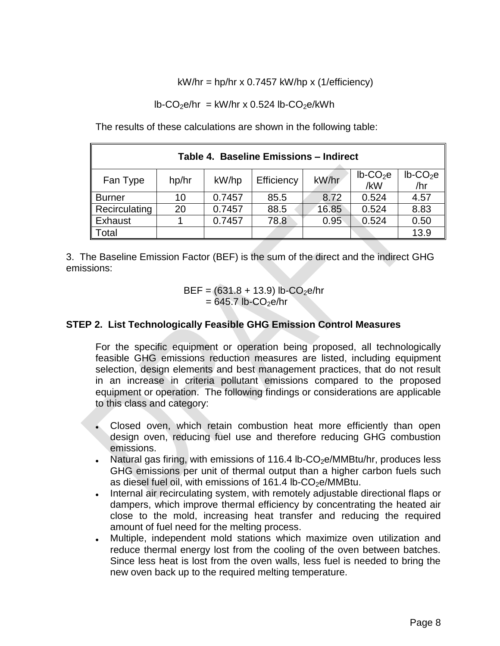$kW/hr = hp/hr \times 0.7457 \ kW/hp \times (1/efficiency)$ 

 $lb$ -CO<sub>2</sub>e/hr = kW/hr x 0.524 lb-CO<sub>2</sub>e/kWh

The results of these calculations are shown in the following table:

| Table 4. Baseline Emissions - Indirect                                                     |    |        |      |       |       |                         |
|--------------------------------------------------------------------------------------------|----|--------|------|-------|-------|-------------------------|
| $lb$ -CO <sub>2</sub> e<br>kW/hr<br>Efficiency<br>hp/hr<br>kW/hp<br>Fan Type<br>/hr<br>/kW |    |        |      |       |       | $lb$ -CO <sub>2</sub> e |
| <b>Burner</b>                                                                              | 10 | 0.7457 | 85.5 | 8.72  | 0.524 | 4.57                    |
| Recirculating                                                                              | 20 | 0.7457 | 88.5 | 16.85 | 0.524 | 8.83                    |
| Exhaust                                                                                    |    | 0.7457 | 78.8 | 0.95  | 0.524 | 0.50                    |
| ⊺otal                                                                                      |    |        |      |       |       | 13.9                    |

3. The Baseline Emission Factor (BEF) is the sum of the direct and the indirect GHG emissions:

> $BEF = (631.8 + 13.9)$  lb-CO<sub>2</sub>e/hr  $= 645.7$  lb-CO<sub>2</sub>e/hr

### <span id="page-9-0"></span>**STEP 2. List Technologically Feasible GHG Emission Control Measures**

For the specific equipment or operation being proposed, all technologically feasible GHG emissions reduction measures are listed, including equipment selection, design elements and best management practices, that do not result in an increase in criteria pollutant emissions compared to the proposed equipment or operation. The following findings or considerations are applicable to this class and category:

- Closed oven, which retain combustion heat more efficiently than open design oven, reducing fuel use and therefore reducing GHG combustion emissions.
- Natural gas firing, with emissions of 116.4 lb-CO<sub>2</sub>e/MMBtu/hr, produces less GHG emissions per unit of thermal output than a higher carbon fuels such as diesel fuel oil, with emissions of  $161.4$  lb-CO<sub>2</sub>e/MMBtu.
- Internal air recirculating system, with remotely adjustable directional flaps or dampers, which improve thermal efficiency by concentrating the heated air close to the mold, increasing heat transfer and reducing the required amount of fuel need for the melting process.
- Multiple, independent mold stations which maximize oven utilization and reduce thermal energy lost from the cooling of the oven between batches. Since less heat is lost from the oven walls, less fuel is needed to bring the new oven back up to the required melting temperature.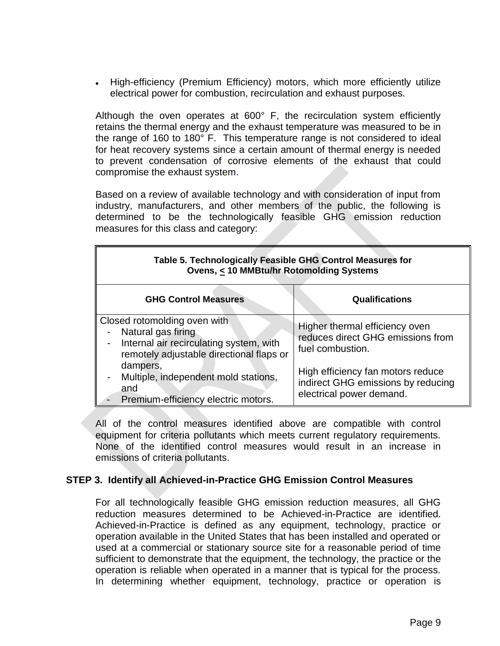• High-efficiency (Premium Efficiency) motors, which more efficiently utilize electrical power for combustion, recirculation and exhaust purposes.

Although the oven operates at 600° F, the recirculation system efficiently retains the thermal energy and the exhaust temperature was measured to be in the range of 160 to 180° F. This temperature range is not considered to ideal for heat recovery systems since a certain amount of thermal energy is needed to prevent condensation of corrosive elements of the exhaust that could compromise the exhaust system.

Based on a review of available technology and with consideration of input from industry, manufacturers, and other members of the public, the following is determined to be the technologically feasible GHG emission reduction measures for this class and category:

| Table 5. Technologically Feasible GHG Control Measures for<br>Ovens, < 10 MMBtu/hr Rotomolding Systems                                         |                                                                                                     |  |  |  |
|------------------------------------------------------------------------------------------------------------------------------------------------|-----------------------------------------------------------------------------------------------------|--|--|--|
| <b>GHG Control Measures</b><br><b>Qualifications</b>                                                                                           |                                                                                                     |  |  |  |
| Closed rotomolding oven with<br>Natural gas firing<br>Internal air recirculating system, with<br>-<br>remotely adjustable directional flaps or | Higher thermal efficiency oven<br>reduces direct GHG emissions from<br>fuel combustion.             |  |  |  |
| dampers,<br>Multiple, independent mold stations,<br>$\overline{\phantom{0}}$<br>and<br>Premium-efficiency electric motors.                     | High efficiency fan motors reduce<br>indirect GHG emissions by reducing<br>electrical power demand. |  |  |  |

All of the control measures identified above are compatible with control equipment for criteria pollutants which meets current regulatory requirements. None of the identified control measures would result in an increase in emissions of criteria pollutants.

#### <span id="page-10-0"></span>**STEP 3. Identify all Achieved-in-Practice GHG Emission Control Measures**

For all technologically feasible GHG emission reduction measures, all GHG reduction measures determined to be Achieved-in-Practice are identified. Achieved-in-Practice is defined as any equipment, technology, practice or operation available in the United States that has been installed and operated or used at a commercial or stationary source site for a reasonable period of time sufficient to demonstrate that the equipment, the technology, the practice or the operation is reliable when operated in a manner that is typical for the process. In determining whether equipment, technology, practice or operation is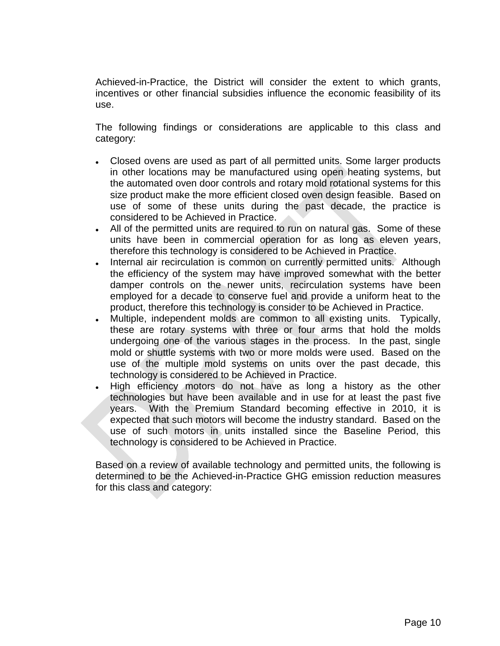Achieved-in-Practice, the District will consider the extent to which grants, incentives or other financial subsidies influence the economic feasibility of its use.

The following findings or considerations are applicable to this class and category:

- Closed ovens are used as part of all permitted units. Some larger products in other locations may be manufactured using open heating systems, but the automated oven door controls and rotary mold rotational systems for this size product make the more efficient closed oven design feasible. Based on use of some of these units during the past decade, the practice is considered to be Achieved in Practice.
- All of the permitted units are required to run on natural gas. Some of these units have been in commercial operation for as long as eleven years, therefore this technology is considered to be Achieved in Practice.
- Internal air recirculation is common on currently permitted units. Although the efficiency of the system may have improved somewhat with the better damper controls on the newer units, recirculation systems have been employed for a decade to conserve fuel and provide a uniform heat to the product, therefore this technology is consider to be Achieved in Practice.
- Multiple, independent molds are common to all existing units. Typically, these are rotary systems with three or four arms that hold the molds undergoing one of the various stages in the process. In the past, single mold or shuttle systems with two or more molds were used. Based on the use of the multiple mold systems on units over the past decade, this technology is considered to be Achieved in Practice.
- High efficiency motors do not have as long a history as the other technologies but have been available and in use for at least the past five years. With the Premium Standard becoming effective in 2010, it is expected that such motors will become the industry standard. Based on the use of such motors in units installed since the Baseline Period, this technology is considered to be Achieved in Practice.

Based on a review of available technology and permitted units, the following is determined to be the Achieved-in-Practice GHG emission reduction measures for this class and category: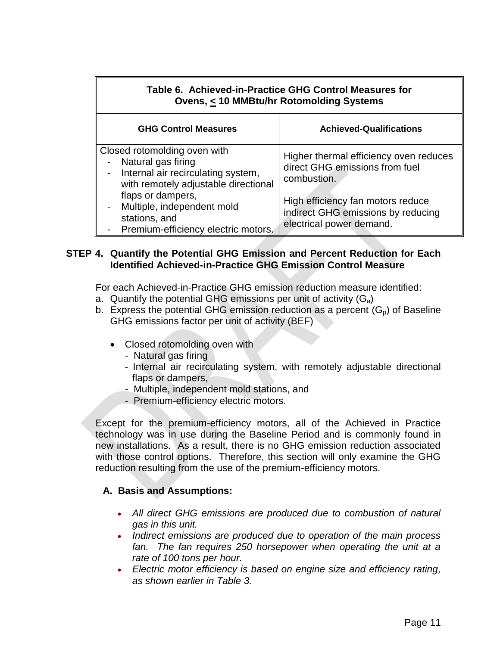| Table 6. Achieved-in-Practice GHG Control Measures for<br>Ovens, < 10 MMBtu/hr Rotomolding Systems                               |                                                                                                     |  |  |  |  |
|----------------------------------------------------------------------------------------------------------------------------------|-----------------------------------------------------------------------------------------------------|--|--|--|--|
| <b>GHG Control Measures</b><br><b>Achieved-Qualifications</b>                                                                    |                                                                                                     |  |  |  |  |
| Closed rotomolding oven with<br>Natural gas firing<br>Internal air recirculating system,<br>with remotely adjustable directional | Higher thermal efficiency oven reduces<br>direct GHG emissions from fuel<br>combustion.             |  |  |  |  |
| flaps or dampers,<br>- Multiple, independent mold<br>stations, and<br>Premium-efficiency electric motors.                        | High efficiency fan motors reduce<br>indirect GHG emissions by reducing<br>electrical power demand. |  |  |  |  |

#### <span id="page-12-0"></span>**STEP 4. Quantify the Potential GHG Emission and Percent Reduction for Each Identified Achieved-in-Practice GHG Emission Control Measure**

For each Achieved-in-Practice GHG emission reduction measure identified:

- a. Quantify the potential GHG emissions per unit of activity  $(G_a)$
- b. Express the potential GHG emission reduction as a percent  $(G_p)$  of Baseline GHG emissions factor per unit of activity (BEF)
	- Closed rotomolding oven with
		- Natural gas firing
		- Internal air recirculating system, with remotely adjustable directional flaps or dampers,
		- Multiple, independent mold stations, and
		- Premium-efficiency electric motors.

Except for the premium-efficiency motors, all of the Achieved in Practice technology was in use during the Baseline Period and is commonly found in new installations. As a result, there is no GHG emission reduction associated with those control options. Therefore, this section will only examine the GHG reduction resulting from the use of the premium-efficiency motors.

### **A. Basis and Assumptions:**

- *All direct GHG emissions are produced due to combustion of natural gas in this unit.*
- *Indirect emissions are produced due to operation of the main process*  fan. The fan requires 250 horsepower when operating the unit at a *rate of 100 tons per hour.*
- *Electric motor efficiency is based on engine size and efficiency rating, as shown earlier in Table 3.*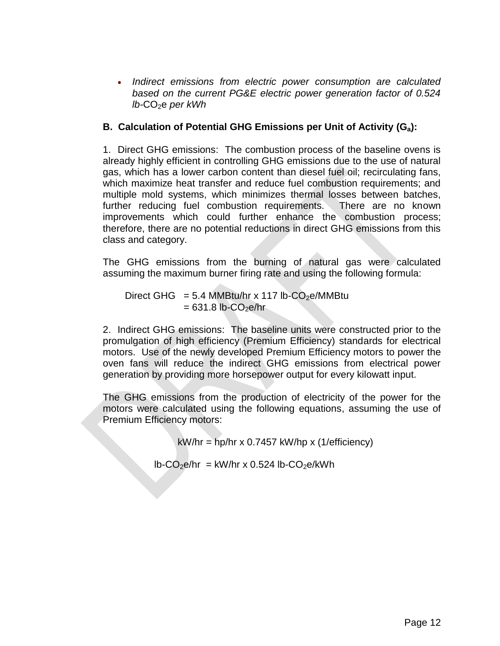*Indirect emissions from electric power consumption are calculated based on the current PG&E electric power generation factor of 0.524 lb-CO<sub>2</sub>e per kWh* 

### **B. Calculation of Potential GHG Emissions per Unit of Activity (Ga):**

1. Direct GHG emissions: The combustion process of the baseline ovens is already highly efficient in controlling GHG emissions due to the use of natural gas, which has a lower carbon content than diesel fuel oil; recirculating fans, which maximize heat transfer and reduce fuel combustion requirements; and multiple mold systems, which minimizes thermal losses between batches, further reducing fuel combustion requirements. There are no known improvements which could further enhance the combustion process; therefore, there are no potential reductions in direct GHG emissions from this class and category.

The GHG emissions from the burning of natural gas were calculated assuming the maximum burner firing rate and using the following formula:

Direct GHG = 5.4 MMBtu/hr x 117 lb-CO<sub>2</sub>e/MMBtu  $= 631.8$  lb-CO<sub>2</sub>e/hr

2. Indirect GHG emissions: The baseline units were constructed prior to the promulgation of high efficiency (Premium Efficiency) standards for electrical motors. Use of the newly developed Premium Efficiency motors to power the oven fans will reduce the indirect GHG emissions from electrical power generation by providing more horsepower output for every kilowatt input.

The GHG emissions from the production of electricity of the power for the motors were calculated using the following equations, assuming the use of Premium Efficiency motors:

 $kW/hr = hp/hr \times 0.7457 \ kW/hp \times (1/efficiency)$ 

 $lb$ -CO<sub>2</sub>e/hr = kW/hr x 0.524 lb-CO<sub>2</sub>e/kWh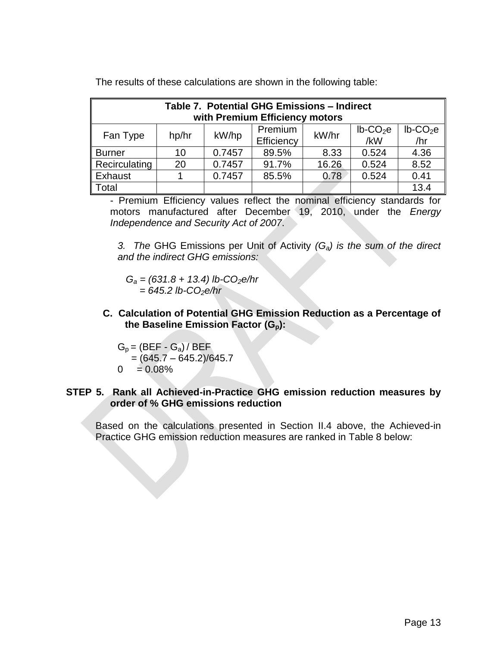| Table 7. Potential GHG Emissions - Indirect<br>with Premium Efficiency motors                                                    |    |        |       |       |       |      |
|----------------------------------------------------------------------------------------------------------------------------------|----|--------|-------|-------|-------|------|
| $lb$ -CO <sub>2</sub> e<br>Premium<br>$lb$ -CO <sub>2</sub> e<br>kW/hr<br>kW/hp<br>Fan Type<br>hp/hr<br>/hr<br>/kW<br>Efficiency |    |        |       |       |       |      |
| <b>Burner</b>                                                                                                                    | 10 | 0.7457 | 89.5% | 8.33  | 0.524 | 4.36 |
| Recirculating                                                                                                                    | 20 | 0.7457 | 91.7% | 16.26 | 0.524 | 8.52 |
| Exhaust                                                                                                                          |    | 0.7457 | 85.5% | 0.78  | 0.524 | 0.41 |
| Total                                                                                                                            |    |        |       |       |       | 13.4 |

The results of these calculations are shown in the following table:

- Premium Efficiency values reflect the nominal efficiency standards for motors manufactured after December 19, 2010, under the *Energy Independence and Security Act of 2007*.

*3. The* GHG Emissions per Unit of Activity *(Ga) is the sum of the direct and the indirect GHG emissions:*

 *G<sup>a</sup> = (631.8 + 13.4) lb-CO2e/hr = 645.2 lb-CO2e/hr*

**C. Calculation of Potential GHG Emission Reduction as a Percentage of the Baseline Emission Factor (Gp):**

 $G_p = (BEF - G_a)/BEF$  $=(645.7 - 645.2)/645.7$  $0 = 0.08\%$ 

#### <span id="page-14-0"></span>**STEP 5. Rank all Achieved-in-Practice GHG emission reduction measures by order of % GHG emissions reduction**

Based on the calculations presented in Section II.4 above, the Achieved-in Practice GHG emission reduction measures are ranked in Table 8 below: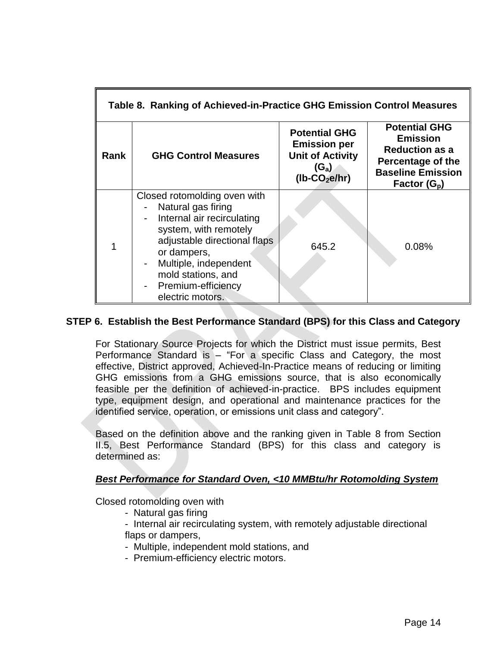| Table 8. Ranking of Achieved-in-Practice GHG Emission Control Measures |                                                                                                                                                                                                                                                   |                                                                                                     |                                                                                                                                     |  |  |  |
|------------------------------------------------------------------------|---------------------------------------------------------------------------------------------------------------------------------------------------------------------------------------------------------------------------------------------------|-----------------------------------------------------------------------------------------------------|-------------------------------------------------------------------------------------------------------------------------------------|--|--|--|
| Rank                                                                   | <b>GHG Control Measures</b>                                                                                                                                                                                                                       | <b>Potential GHG</b><br><b>Emission per</b><br><b>Unit of Activity</b><br>$(G_a)$<br>$(lb-CO2e/hr)$ | <b>Potential GHG</b><br><b>Emission</b><br><b>Reduction as a</b><br>Percentage of the<br><b>Baseline Emission</b><br>Factor $(G_p)$ |  |  |  |
|                                                                        | Closed rotomolding oven with<br>Natural gas firing<br>Internal air recirculating<br>system, with remotely<br>adjustable directional flaps<br>or dampers,<br>Multiple, independent<br>mold stations, and<br>Premium-efficiency<br>electric motors. | 645.2                                                                                               | 0.08%                                                                                                                               |  |  |  |

#### <span id="page-15-0"></span>**STEP 6. Establish the Best Performance Standard (BPS) for this Class and Category**

For Stationary Source Projects for which the District must issue permits, Best Performance Standard is – "For a specific Class and Category, the most effective, District approved, Achieved-In-Practice means of reducing or limiting GHG emissions from a GHG emissions source, that is also economically feasible per the definition of achieved-in-practice. BPS includes equipment type, equipment design, and operational and maintenance practices for the identified service, operation, or emissions unit class and category".

Based on the definition above and the ranking given in Table 8 from Section II.5, Best Performance Standard (BPS) for this class and category is determined as:

#### *Best Performance for Standard Oven, <10 MMBtu/hr Rotomolding System*

Closed rotomolding oven with

- Natural gas firing
- Internal air recirculating system, with remotely adjustable directional flaps or dampers,
- Multiple, independent mold stations, and
- Premium-efficiency electric motors.